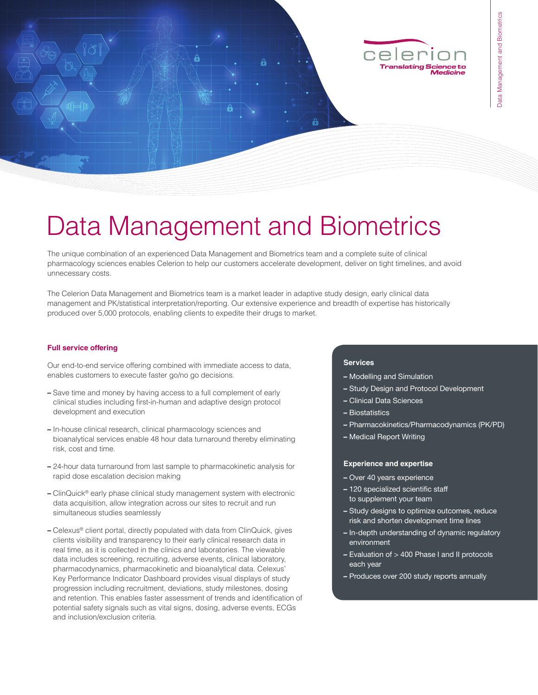

# Data Management and Biometrics

The unique combination of an experienced Data Management and Biometrics team and a complete suite of clinical pharmacology sciences enables Celerion to help our customers accelerate development, deliver on tight timelines, and avoid unnecessary costs.

The Celerion Data Management and Biometrics team is a market leader in adaptive study design, early clinical data management and PK/statistical interpretation/reporting. Our extensive experience and breadth of expertise has historically produced over 5,000 protocols, enabling clients to expedite their drugs to market.

#### **Full service offering**

Our end-to-end service offering combined with immediate access to data, enables customers to execute faster go/no go decisions.

- Save time and money by having access to a full complement of early clinical studies including first-in-human and adaptive design protocol development and execution
- In-house clinical research, clinical pharmacology sciences and bioanalytical services enable 48 hour data turnaround thereby eliminating risk, cost and time.
- 24-hour data turnaround from last sample to pharmacokinetic analysis for rapid dose escalation decision making
- ClinQuick® early phase clinical study management system with electronic data acquisition, allow integration across our sites to recruit and run simultaneous studies seamlessly
- Celexus® client portal, directly populated with data from ClinQuick, gives clients visibility and transparency to their early clinical research data in real time, as it is collected in the clinics and laboratories. The viewable data includes screening, recruiting, adverse events, clinical laboratory, pharmacodynamics, pharmacokinetic and bioanalytical data. Celexus' Key Performance Indicator Dashboard provides visual displays of study progression including recruitment, deviations, study milestones, dosing and retention. This enables faster assessment of trends and identification of potential safety signals such as vital signs, dosing, adverse events, ECGs and inclusion/exclusion criteria.

#### **Services**

- Modelling and Simulation
- Study Design and Protocol Development
- Clinical Data Sciences
- Biostatistics
- Pharmacokinetics/Pharmacodynamics (PK/PD)
- Medical Report Writing

#### **Experience and expertise**

- Over 40 years experience
- 120 specialized scientific staff to supplement your team
- Study designs to optimize outcomes, reduce risk and shorten development time lines
- In-depth understanding of dynamic regulatory environment
- Evaluation of > 400 Phase I and II protocols each year
- Produces over 200 study reports annually